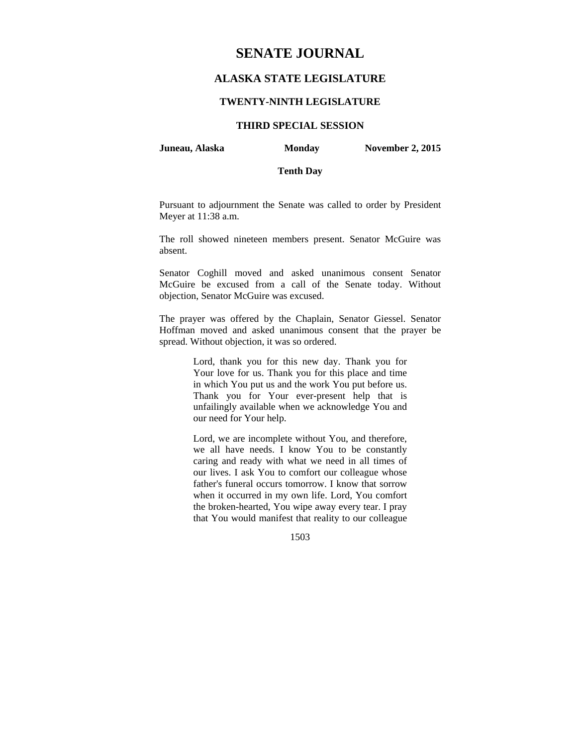# **SENATE JOURNAL**

# **ALASKA STATE LEGISLATURE**

## **TWENTY-NINTH LEGISLATURE**

# **THIRD SPECIAL SESSION**

**Juneau, Alaska Monday November 2, 2015** 

## **Tenth Day**

Pursuant to adjournment the Senate was called to order by President Meyer at 11:38 a.m.

The roll showed nineteen members present. Senator McGuire was absent.

Senator Coghill moved and asked unanimous consent Senator McGuire be excused from a call of the Senate today. Without objection, Senator McGuire was excused.

The prayer was offered by the Chaplain, Senator Giessel. Senator Hoffman moved and asked unanimous consent that the prayer be spread. Without objection, it was so ordered.

> Lord, thank you for this new day. Thank you for Your love for us. Thank you for this place and time in which You put us and the work You put before us. Thank you for Your ever-present help that is unfailingly available when we acknowledge You and our need for Your help.

> Lord, we are incomplete without You, and therefore, we all have needs. I know You to be constantly caring and ready with what we need in all times of our lives. I ask You to comfort our colleague whose father's funeral occurs tomorrow. I know that sorrow when it occurred in my own life. Lord, You comfort the broken-hearted, You wipe away every tear. I pray that You would manifest that reality to our colleague

> > 1503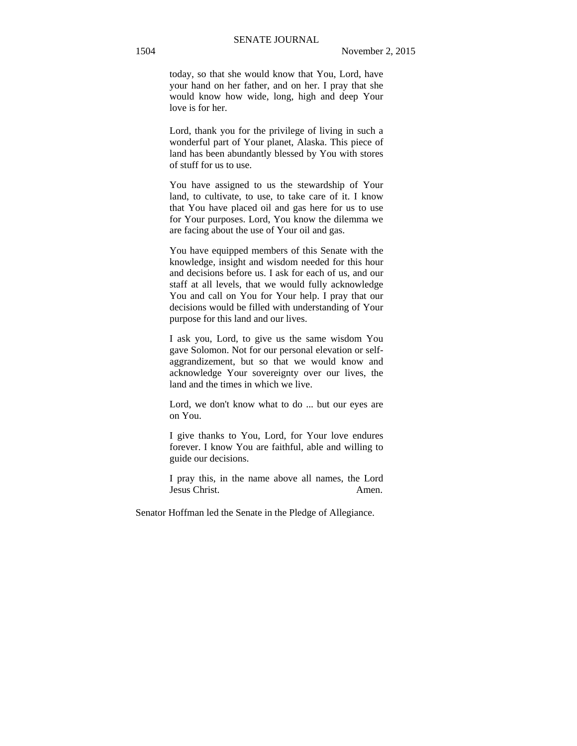today, so that she would know that You, Lord, have your hand on her father, and on her. I pray that she would know how wide, long, high and deep Your love is for her.

Lord, thank you for the privilege of living in such a wonderful part of Your planet, Alaska. This piece of land has been abundantly blessed by You with stores of stuff for us to use.

You have assigned to us the stewardship of Your land, to cultivate, to use, to take care of it. I know that You have placed oil and gas here for us to use for Your purposes. Lord, You know the dilemma we are facing about the use of Your oil and gas.

You have equipped members of this Senate with the knowledge, insight and wisdom needed for this hour and decisions before us. I ask for each of us, and our staff at all levels, that we would fully acknowledge You and call on You for Your help. I pray that our decisions would be filled with understanding of Your purpose for this land and our lives.

I ask you, Lord, to give us the same wisdom You gave Solomon. Not for our personal elevation or selfaggrandizement, but so that we would know and acknowledge Your sovereignty over our lives, the land and the times in which we live.

Lord, we don't know what to do ... but our eyes are on You.

I give thanks to You, Lord, for Your love endures forever. I know You are faithful, able and willing to guide our decisions.

I pray this, in the name above all names, the Lord Jesus Christ. Amen.

Senator Hoffman led the Senate in the Pledge of Allegiance.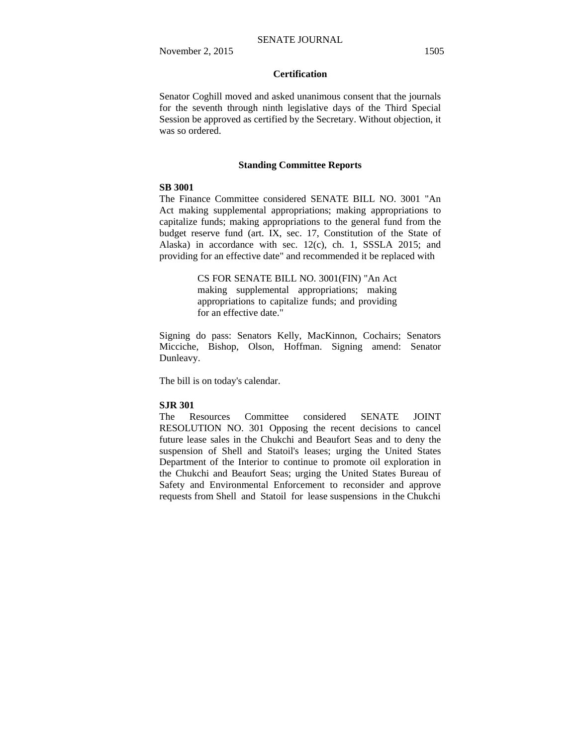# **Certification**

Senator Coghill moved and asked unanimous consent that the journals for the seventh through ninth legislative days of the Third Special Session be approved as certified by the Secretary. Without objection, it was so ordered.

### **Standing Committee Reports**

## **SB 3001**

The Finance Committee considered SENATE BILL NO. 3001 "An Act making supplemental appropriations; making appropriations to capitalize funds; making appropriations to the general fund from the budget reserve fund (art. IX, sec. 17, Constitution of the State of Alaska) in accordance with sec. 12(c), ch. 1, SSSLA 2015; and providing for an effective date" and recommended it be replaced with

> CS FOR SENATE BILL NO. 3001(FIN) "An Act making supplemental appropriations; making appropriations to capitalize funds; and providing for an effective date."

Signing do pass: Senators Kelly, MacKinnon, Cochairs; Senators Micciche, Bishop, Olson, Hoffman. Signing amend: Senator Dunleavy.

The bill is on today's calendar.

#### **SJR 301**

The Resources Committee considered SENATE JOINT RESOLUTION NO. 301 Opposing the recent decisions to cancel future lease sales in the Chukchi and Beaufort Seas and to deny the suspension of Shell and Statoil's leases; urging the United States Department of the Interior to continue to promote oil exploration in the Chukchi and Beaufort Seas; urging the United States Bureau of Safety and Environmental Enforcement to reconsider and approve requests from Shell and Statoil for lease suspensions in the Chukchi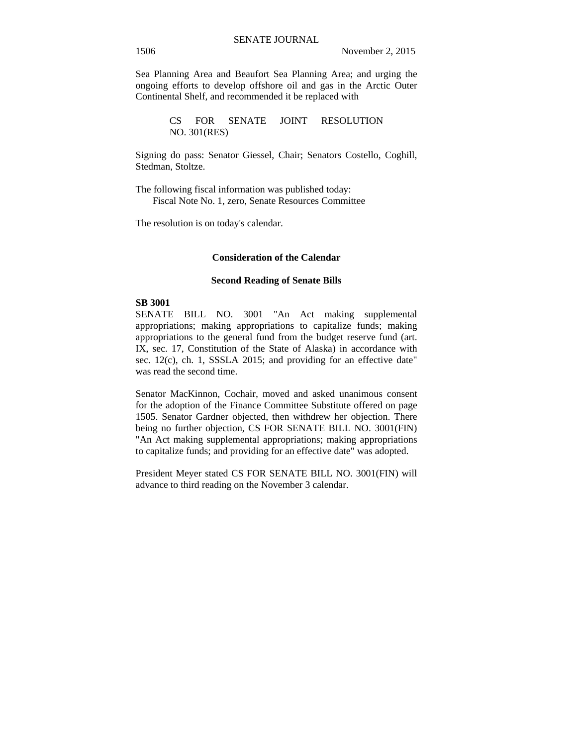Sea Planning Area and Beaufort Sea Planning Area; and urging the ongoing efforts to develop offshore oil and gas in the Arctic Outer Continental Shelf, and recommended it be replaced with

> CS FOR SENATE JOINT RESOLUTION NO. 301(RES)

Signing do pass: Senator Giessel, Chair; Senators Costello, Coghill, Stedman, Stoltze.

The following fiscal information was published today: Fiscal Note No. 1, zero, Senate Resources Committee

The resolution is on today's calendar.

#### **Consideration of the Calendar**

#### **Second Reading of Senate Bills**

#### **SB 3001**

SENATE BILL NO. 3001 "An Act making supplemental appropriations; making appropriations to capitalize funds; making appropriations to the general fund from the budget reserve fund (art. IX, sec. 17, Constitution of the State of Alaska) in accordance with sec. 12(c), ch. 1, SSSLA 2015; and providing for an effective date" was read the second time.

Senator MacKinnon, Cochair, moved and asked unanimous consent for the adoption of the Finance Committee Substitute offered on page 1505. Senator Gardner objected, then withdrew her objection. There being no further objection, CS FOR SENATE BILL NO. 3001(FIN) "An Act making supplemental appropriations; making appropriations to capitalize funds; and providing for an effective date" was adopted.

President Meyer stated CS FOR SENATE BILL NO. 3001(FIN) will advance to third reading on the November 3 calendar.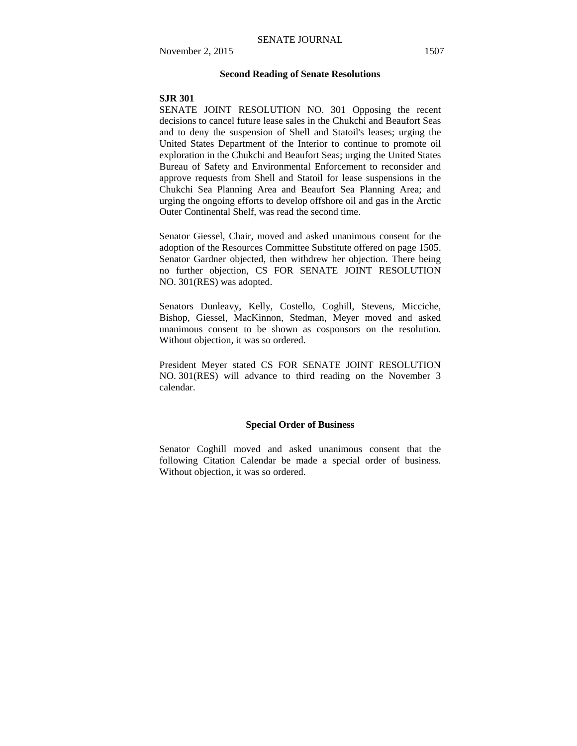#### **Second Reading of Senate Resolutions**

#### **SJR 301**

SENATE JOINT RESOLUTION NO. 301 Opposing the recent decisions to cancel future lease sales in the Chukchi and Beaufort Seas and to deny the suspension of Shell and Statoil's leases; urging the United States Department of the Interior to continue to promote oil exploration in the Chukchi and Beaufort Seas; urging the United States Bureau of Safety and Environmental Enforcement to reconsider and approve requests from Shell and Statoil for lease suspensions in the Chukchi Sea Planning Area and Beaufort Sea Planning Area; and urging the ongoing efforts to develop offshore oil and gas in the Arctic Outer Continental Shelf, was read the second time.

Senator Giessel, Chair, moved and asked unanimous consent for the adoption of the Resources Committee Substitute offered on page 1505. Senator Gardner objected, then withdrew her objection. There being no further objection, CS FOR SENATE JOINT RESOLUTION NO. 301(RES) was adopted.

Senators Dunleavy, Kelly, Costello, Coghill, Stevens, Micciche, Bishop, Giessel, MacKinnon, Stedman, Meyer moved and asked unanimous consent to be shown as cosponsors on the resolution. Without objection, it was so ordered.

President Meyer stated CS FOR SENATE JOINT RESOLUTION NO. 301(RES) will advance to third reading on the November 3 calendar.

## **Special Order of Business**

Senator Coghill moved and asked unanimous consent that the following Citation Calendar be made a special order of business. Without objection, it was so ordered.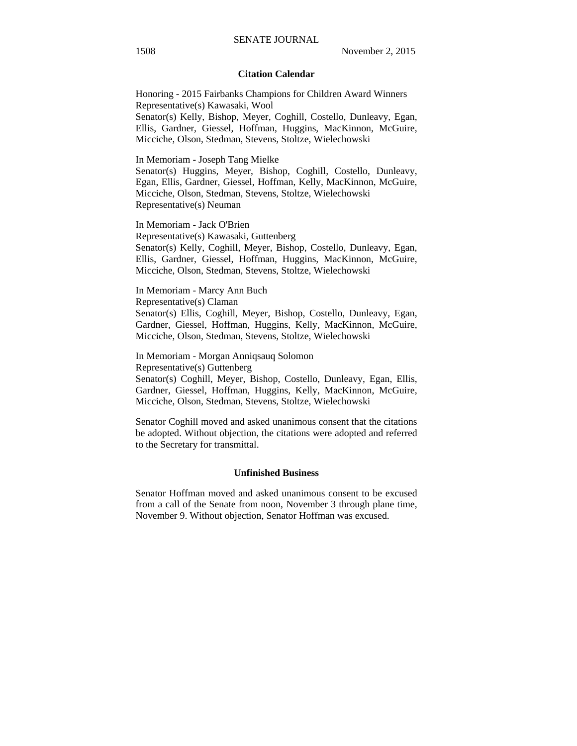### **Citation Calendar**

Honoring - 2015 Fairbanks Champions for Children Award Winners Representative(s) Kawasaki, Wool Senator(s) Kelly, Bishop, Meyer, Coghill, Costello, Dunleavy, Egan, Ellis, Gardner, Giessel, Hoffman, Huggins, MacKinnon, McGuire, Micciche, Olson, Stedman, Stevens, Stoltze, Wielechowski

In Memoriam - Joseph Tang Mielke

Senator(s) Huggins, Meyer, Bishop, Coghill, Costello, Dunleavy, Egan, Ellis, Gardner, Giessel, Hoffman, Kelly, MacKinnon, McGuire, Micciche, Olson, Stedman, Stevens, Stoltze, Wielechowski Representative(s) Neuman

In Memoriam - Jack O'Brien Representative(s) Kawasaki, Guttenberg Senator(s) Kelly, Coghill, Meyer, Bishop, Costello, Dunleavy, Egan, Ellis, Gardner, Giessel, Hoffman, Huggins, MacKinnon, McGuire, Micciche, Olson, Stedman, Stevens, Stoltze, Wielechowski

In Memoriam - Marcy Ann Buch Representative(s) Claman Senator(s) Ellis, Coghill, Meyer, Bishop, Costello, Dunleavy, Egan, Gardner, Giessel, Hoffman, Huggins, Kelly, MacKinnon, McGuire, Micciche, Olson, Stedman, Stevens, Stoltze, Wielechowski

In Memoriam - Morgan Anniqsauq Solomon Representative(s) Guttenberg Senator(s) Coghill, Meyer, Bishop, Costello, Dunleavy, Egan, Ellis, Gardner, Giessel, Hoffman, Huggins, Kelly, MacKinnon, McGuire, Micciche, Olson, Stedman, Stevens, Stoltze, Wielechowski

Senator Coghill moved and asked unanimous consent that the citations be adopted. Without objection, the citations were adopted and referred to the Secretary for transmittal.

#### **Unfinished Business**

Senator Hoffman moved and asked unanimous consent to be excused from a call of the Senate from noon, November 3 through plane time, November 9. Without objection, Senator Hoffman was excused.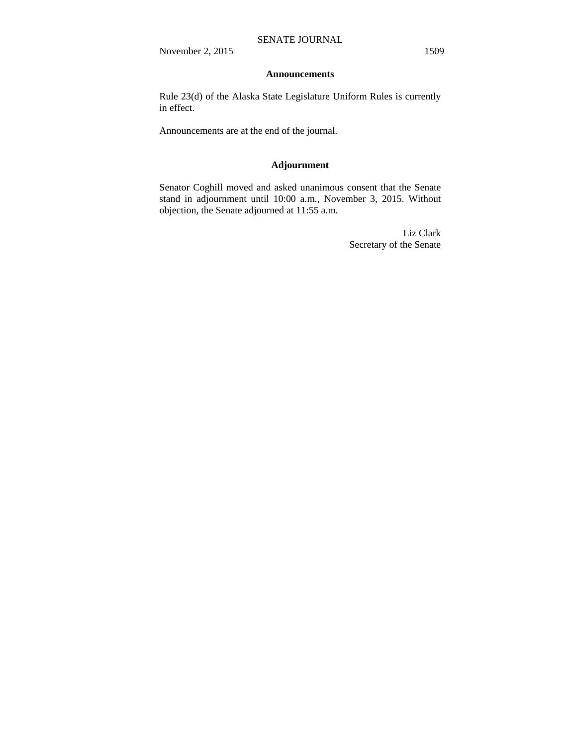November 2, 2015 1509

#### **Announcements**

Rule 23(d) of the Alaska State Legislature Uniform Rules is currently in effect.

Announcements are at the end of the journal.

## **Adjournment**

Senator Coghill moved and asked unanimous consent that the Senate stand in adjournment until 10:00 a.m., November 3, 2015. Without objection, the Senate adjourned at 11:55 a.m.

> Liz Clark Secretary of the Senate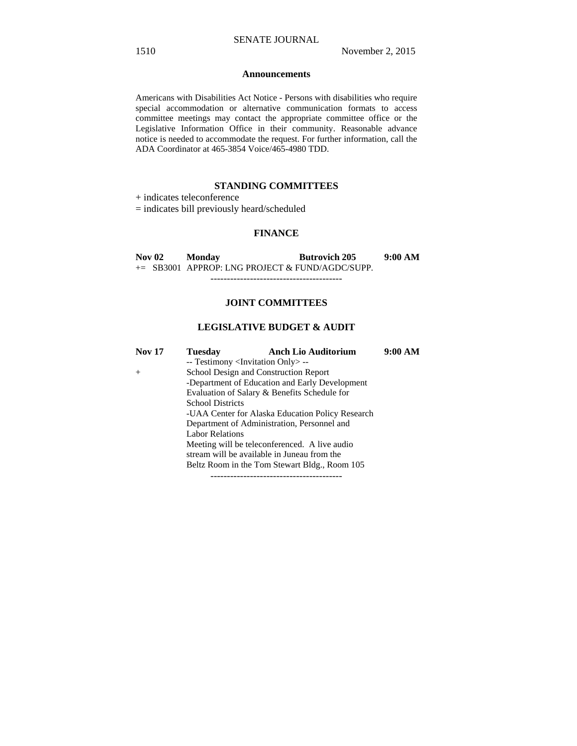#### **Announcements**

Americans with Disabilities Act Notice - Persons with disabilities who require special accommodation or alternative communication formats to access committee meetings may contact the appropriate committee office or the Legislative Information Office in their community. Reasonable advance notice is needed to accommodate the request. For further information, call the ADA Coordinator at 465-3854 Voice/465-4980 TDD.

## **STANDING COMMITTEES**

+ indicates teleconference

= indicates bill previously heard/scheduled

## **FINANCE**

**Nov 02 Monday Butrovich 205 9:00 AM**  += SB3001 APPROP: LNG PROJECT & FUND/AGDC/SUPP.

----------------------------------------

#### **JOINT COMMITTEES**

# **LEGISLATIVE BUDGET & AUDIT**

| -- Testimony <invitation only=""> --</invitation> |  |
|---------------------------------------------------|--|
|                                                   |  |
| School Design and Construction Report<br>$^{+}$   |  |
| -Department of Education and Early Development    |  |
| Evaluation of Salary & Benefits Schedule for      |  |
| <b>School Districts</b>                           |  |
| -UAA Center for Alaska Education Policy Research  |  |
| Department of Administration, Personnel and       |  |
| <b>Labor Relations</b>                            |  |
| Meeting will be teleconferenced. A live audio     |  |
| stream will be available in Juneau from the       |  |
| Beltz Room in the Tom Stewart Bldg., Room 105     |  |
|                                                   |  |